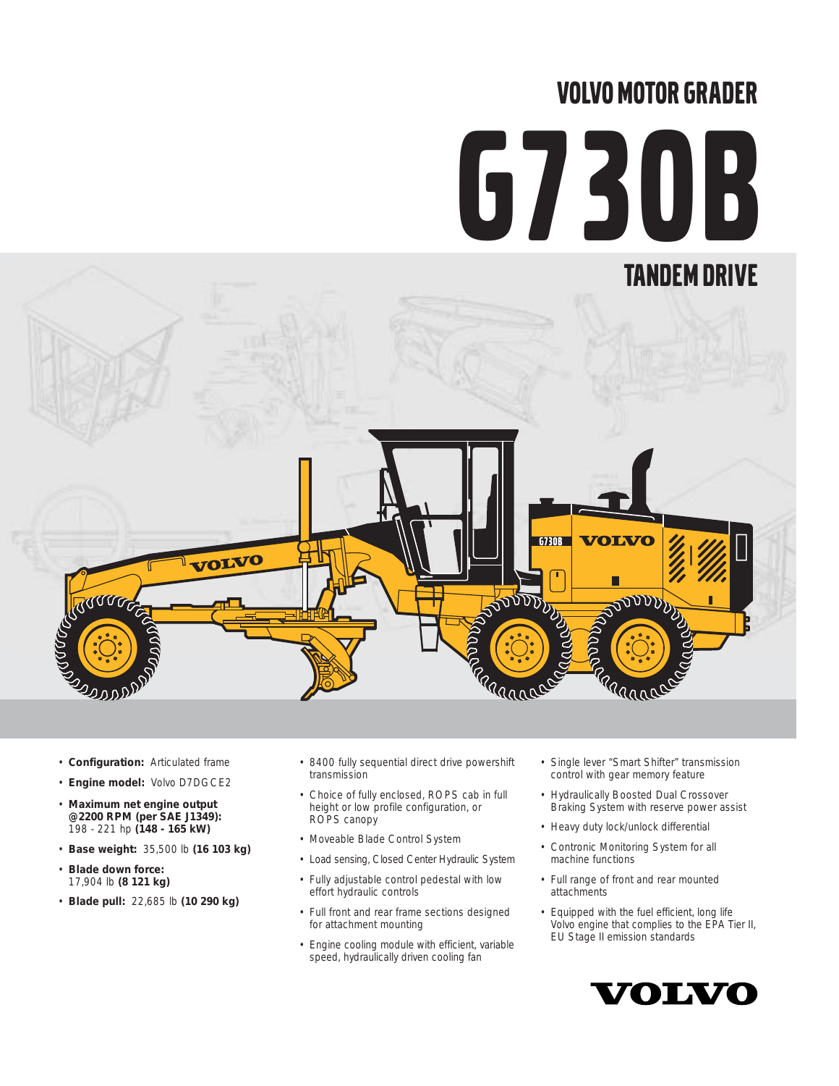# VOLVO MOTOR GRADER

# G730B TANDEM DRIVEG730B **OLVO** VOLVO RRAMADES CONTRACTOR **BULLET DE**  $\sqrt{10}$ Rannon Barnet

- **Configuration:** Articulated frame
- **Engine model:** Volvo D7DGCE2
- **Maximum net engine output @2200 RPM (per SAE J1349):** 198 - 221 hp **(148 - 165 kW)**
- **Base weight:** 35,500 lb **(16 103 kg)**
- **Blade down force:**  17,904 lb **(8 121 kg)**

گھرورو2

• **Blade pull:** 22,685 lb **(10 290 kg)**

- 8400 fully sequential direct drive powershift transmission
- Choice of fully enclosed, ROPS cab in full height or low profile configuration, or ROPS canopy
- Moveable Blade Control System
- Load sensing, Closed Center Hydraulic System
- Fully adjustable control pedestal with low effort hydraulic controls
- Full front and rear frame sections designed for attachment mounting
- Engine cooling module with efficient, variable speed, hydraulically driven cooling fan
- Single lever "Smart Shifter" transmission control with gear memory feature
- Hydraulically Boosted Dual Crossover Braking System with reserve power assist
- Heavy duty lock/unlock differential
- Contronic Monitoring System for all machine functions
- Full range of front and rear mounted attachments
- Equipped with the fuel efficient, long life Volvo engine that complies to the EPA Tier II, EU Stage II emission standards

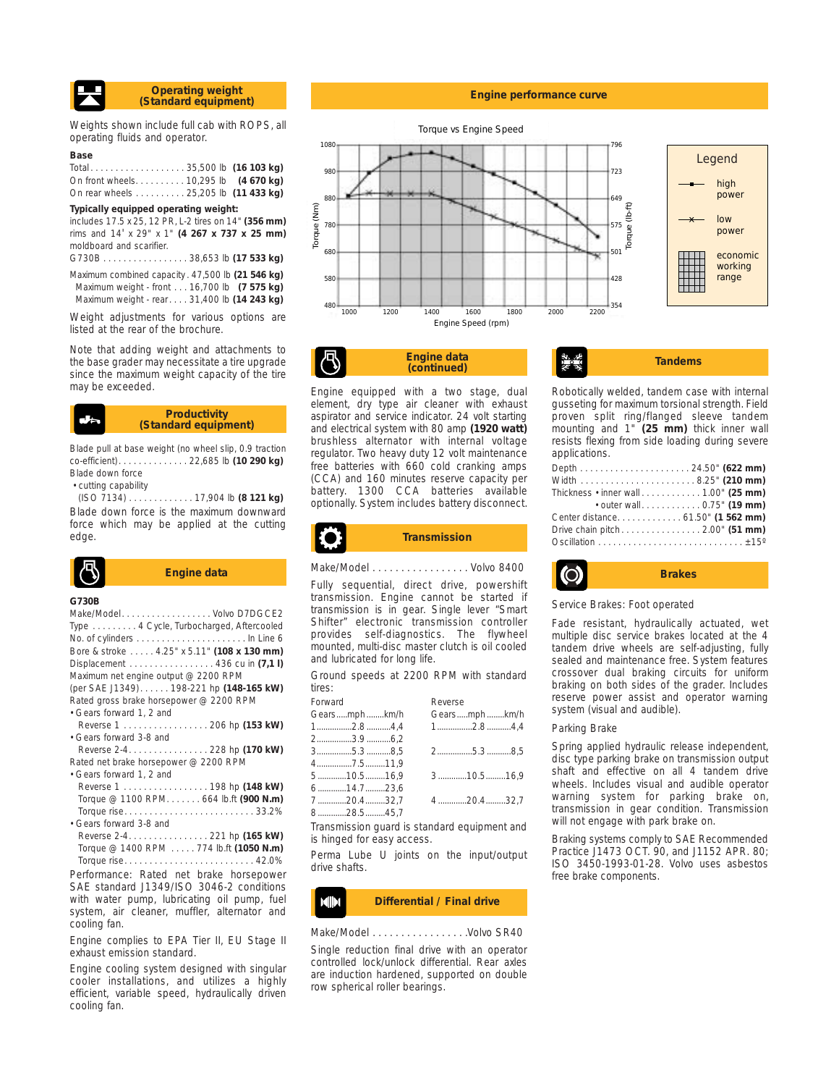

Weights shown include full cab with ROPS, all operating fluids and operator.

#### **Base**

| Total35,500 lb (16 103 kg)            |  |
|---------------------------------------|--|
| On front wheels. 10,295 lb (4 670 kg) |  |
| On rear wheels 25,205 lb (11 433 kg)  |  |

#### **Typically equipped operating weight:**

includes 17.5 x 25, 12 PR, L-2 tires on 14" **(356 mm)** rims and 14' x 29" x 1" **(4 267 x 737 x 25 mm)** moldboard and scarifier.

G730B . . . . . . . . . . . . . . . . . 38,653 lb **(17 533 kg)** Maximum combined capacity . 47,500 lb **(21 546 kg)** Maximum weight - front . . . 16,700 lb **(7 575 kg)** Maximum weight - rear. . . . 31,400 lb **(14 243 kg)**

Weight adjustments for various options are listed at the rear of the brochure.

Note that adding weight and attachments to the base grader may necessitate a tire upgrade since the maximum weight capacity of the tire may be exceeded.

#### **Productivity (Standard equipment)**

Blade pull at base weight (no wheel slip, 0.9 traction co-efficient). . . . . . . . . . . . . . 22,685 lb **(10 290 kg)** Blade down force

• cutting capability

(ISO 7134) . . . . . . . . . . . . . 17,904 lb **(8 121 kg)** Blade down force is the maximum downward force which may be applied at the cutting edge.

$$
\begin{array}{|c|c|}\n\hline\n\text{R} & \text{Engine} \\
\hline\n\end{array}
$$

#### **G730B**

| Make/ModelVolvo D7DGCE2                    |
|--------------------------------------------|
| Type 4 Cycle, Turbocharged, Aftercooled    |
|                                            |
| Bore & stroke 4.25" x 5.11" (108 x 130 mm) |
| Displacement 436 cu in (7,1 I)             |
| Maximum net engine output @ 2200 RPM       |
| (per SAE J1349)198-221 hp (148-165 kW)     |
| Rated gross brake horsepower @ 2200 RPM    |
| • Gears forward 1, 2 and                   |
| Reverse 1 206 hp (153 kW)                  |
| • Gears forward 3-8 and                    |
| Reverse 2-4. 228 hp (170 kW)               |
| Rated net brake horsepower @ 2200 RPM      |
| • Gears forward 1, 2 and                   |
| Reverse 1 198 hp (148 kW)                  |
| Torque @ 1100 RPM. 664 lb.ft (900 N.m)     |
|                                            |
| • Gears forward 3-8 and                    |
| Reverse 2-4 221 hp (165 kW)                |
| Torque @ 1400 RPM 774 lb.ft (1050 N.m)     |
|                                            |

Performance: Rated net brake horsepower SAE standard J1349/ISO 3046-2 conditions with water pump, lubricating oil pump, fuel system, air cleaner, muffler, alternator and cooling fan.

Engine complies to EPA Tier II, EU Stage II exhaust emission standard.

Engine cooling system designed with singular cooler installations, and utilizes a highly efficient, variable speed, hydraulically driven cooling fan.

#### **Engine performance curve**



**Engine data**

Engine equipped with a two stage, dual element, dry type air cleaner with exhaust aspirator and service indicator. 24 volt starting and electrical system with 80 amp **(1920 watt)** brushless alternator with internal voltage regulator. Two heavy duty 12 volt maintenance free batteries with 660 cold cranking amps (CCA) and 160 minutes reserve capacity per battery. 1300 CCA batteries available optionally. System includes battery disconnect.

#### **Engine data**<br>(continued) Tandems Robotically welded, tandem case with internal gusseting for maximum torsional strength. Field proven split ring/flanged sleeve tandem mounting and 1" **(25 mm)** thick inner wall

| applications.                                                             |  |
|---------------------------------------------------------------------------|--|
|                                                                           |  |
|                                                                           |  |
| Thickness $\cdot$ inner wall $\ldots \ldots \ldots \ldots 1.00$ " (25 mm) |  |
| • outer wall 0.75" (19 mm)                                                |  |
| Center distance 61.50" (1 562 mm)                                         |  |
| Drive chain pitch2.00" (51 mm)                                            |  |
|                                                                           |  |

resists flexing from side loading during severe



#### Service Brakes: Foot operated

Fade resistant, hydraulically actuated, wet multiple disc service brakes located at the 4 tandem drive wheels are self-adjusting, fully sealed and maintenance free. System features crossover dual braking circuits for uniform braking on both sides of the grader. Includes reserve power assist and operator warning system (visual and audible).

#### Parking Brake

Spring applied hydraulic release independent, disc type parking brake on transmission output shaft and effective on all 4 tandem drive wheels. Includes visual and audible operator warning system for parking brake on, transmission in gear condition. Transmission will not engage with park brake on.

Braking systems comply to SAE Recommended Practice J1473 OCT. 90, and J1152 APR. 80; ISO 3450-1993-01-28. Volvo uses asbestos free brake components.

# **Transmission**

Fully sequential, direct drive, powershift transmission. Engine cannot be started if transmission is in gear. Single lever "Smart Shifter" electronic transmission controller provides self-diagnostics. The flywheel mounted, multi-disc master clutch is oil cooled and lubricated for long life.

Ground speeds at 2200 RPM with standard tires:

| Forward | Reverse                                                                                                                     |
|---------|-----------------------------------------------------------------------------------------------------------------------------|
|         | Gearsmphkm/h                                                                                                                |
|         | $1$ 2.8 4,4                                                                                                                 |
|         |                                                                                                                             |
|         | 25.38,5                                                                                                                     |
|         |                                                                                                                             |
|         | 310.516,9                                                                                                                   |
|         |                                                                                                                             |
|         | 420.432,7                                                                                                                   |
|         |                                                                                                                             |
|         | Gearsmphkm/h<br>$1$ 2.8 4,4<br>23.96,2<br>$3$ 5.3 8,5<br>47.511.9<br>$5$ 10.516.9<br>$6$ 14.723,6<br>720.432,7<br>828.545,7 |

Transmission guard is standard equipment and is hinged for easy access.

Perma Lube U joints on the input/output drive shafts.

#### **Differential / Final drive** MIN

Make/Model . . . . . . . . . . . . . . . . . . Volvo SR40

Single reduction final drive with an operator controlled lock/unlock differential. Rear axles are induction hardened, supported on double row spherical roller bearings.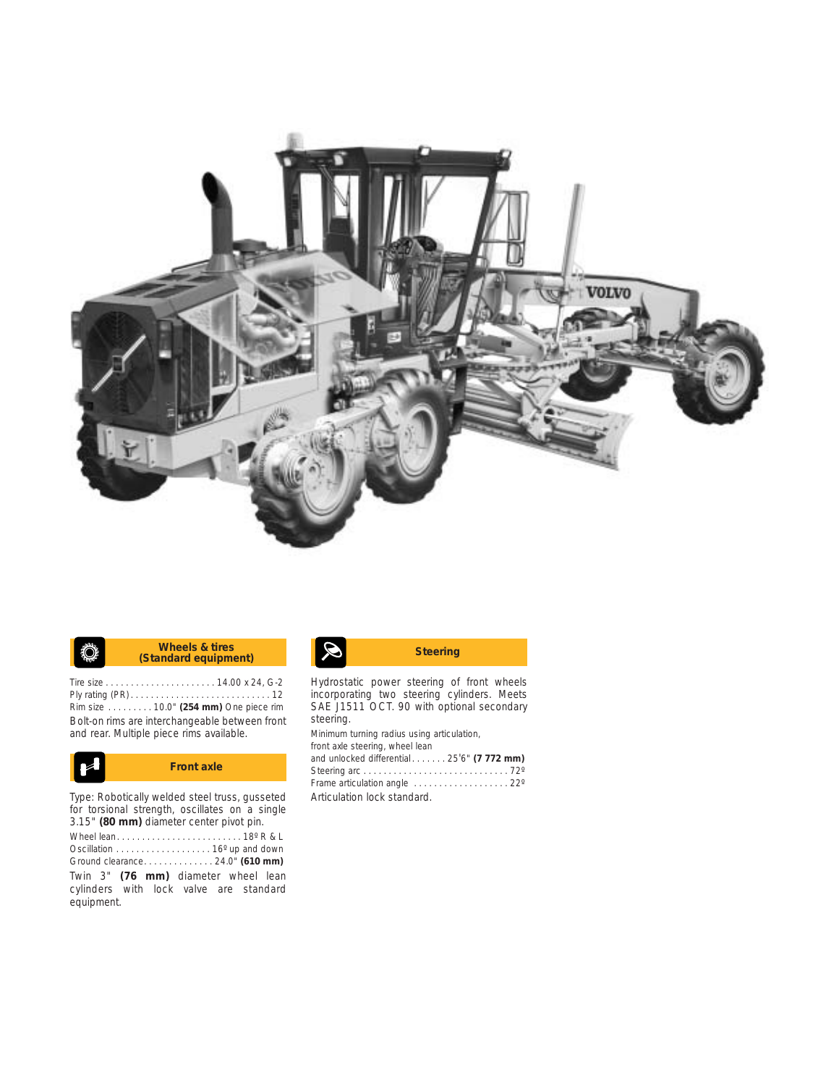

#### **K** Wheels & tires **Standard equipment)** Steering **Wheels & tires** ♦

Tire size . . . . . . . . . . . . . . . . . . . . . . 14.00 x 24, G-2 Ply rating (PR) . . . . . . . . . . . . . . . . . . . . . . . . . . . . 12 Rim size . . . . . . . . . 10.0" **(254 mm)** One piece rim Bolt-on rims are interchangeable between front and rear. Multiple piece rims available.



Type: Robotically welded steel truss, gusseted for torsional strength, oscillates on a single 3.15" **(80 mm)** diameter center pivot pin.

Wheel lean. . . . . . . . . . . . . . . . . . . . . . . . . 18º R & L Oscillation . . . . . . . . . . . . . . . . . . . 16º up and down Ground clearance. . . . . . . . . . . . . . 24.0" **(610 mm)** Twin 3" **(76 mm)** diameter wheel lean cylinders with lock valve are standard equipment.

Hydrostatic power steering of front wheels incorporating two steering cylinders. Meets SAE J1511 OCT. 90 with optional secondary steering.

Minimum turning radius using articulation, front axle steering, wheel lean and unlocked differential . . . . . . . 25'6" **(7 772 mm)** Steering arc . . . . . . . . . . . . . . . . . . . . . . . . . . . . . 72º Frame articulation angle . . . . . . . . . . . . . . . . . . . 22º Articulation lock standard.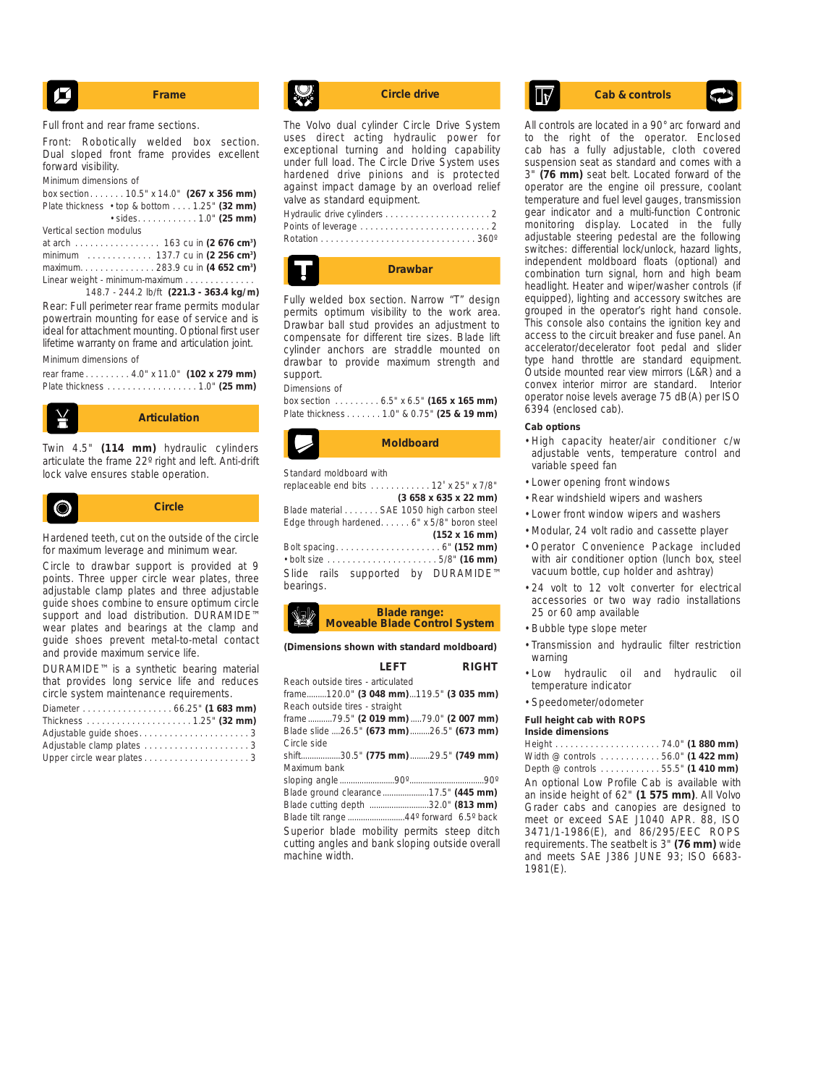$$
\begin{array}{|c|c|}\n\hline\n\end{array}
$$
 **Frame**

Full front and rear frame sections.

Front: Robotically welded box section. Dual sloped front frame provides excellent forward visibility.

Minimum dimensions of

box section. . . . . . . 10.5" x 14.0" **(267 x 356 mm)** Plate thickness • top & bottom . . . . 1.25" **(32 mm)** • sides. . . . . . . . . . . . 1.0" **(25 mm)** Vertical section modulus

at arch . . . . . . . . . . . . . . . . . 163 cu in **(2 676 cm3 )** minimum . . . . . . . . . . . . . 137.7 cu in **(2 256 cm3 )** maximum. . . . . . . . . . . . . . . 283.9 cu in **(4 652 cm3 )** Linear weight - minimum-maximum . . . . . . . . . . . .

148.7 - 244.2 lb/ft **(221.3 - 363.4 kg/m)** Rear: Full perimeter rear frame permits modular powertrain mounting for ease of service and is ideal for attachment mounting. Optional first user lifetime warranty on frame and articulation joint.

#### Minimum dimensions of

rear frame . . . . . . . . . 4.0" x 11.0" **(102 x 279 mm)** Plate thickness . . . . . . . . . . . . . . . . . . 1.0" **(25 mm)**



Twin 4.5" **(114 mm)** hydraulic cylinders articulate the frame 22º right and left. Anti-drift lock valve ensures stable operation.



Hardened teeth, cut on the outside of the circle for maximum leverage and minimum wear.

Circle to drawbar support is provided at 9 points. Three upper circle wear plates, three adjustable clamp plates and three adjustable guide shoes combine to ensure optimum circle support and load distribution. DURAMIDE™ wear plates and bearings at the clamp and guide shoes prevent metal-to-metal contact and provide maximum service life.

DURAMIDE™ is a synthetic bearing material that provides long service life and reduces circle system maintenance requirements.

| Diameter 66.25" (1 683 mm) |  |
|----------------------------|--|
|                            |  |
|                            |  |
|                            |  |
|                            |  |

The Volvo dual cylinder Circle Drive System uses direct acting hydraulic power for exceptional turning and holding capability under full load. The Circle Drive System uses hardened drive pinions and is protected against impact damage by an overload relief valve as standard equipment. Hydraulic drive cylinders . . . . . . . . . . . . . . . . . . . . . 2



Fully welded box section. Narrow "T" design permits optimum visibility to the work area. Drawbar ball stud provides an adjustment to compensate for different tire sizes. Blade lift cylinder anchors are straddle mounted on drawbar to provide maximum strength and support.

#### Dimensions of

box section . . . . . . . . . 6.5" x 6.5" **(165 x 165 mm)** Plate thickness . . . . . . . 1.0" & 0.75" **(25 & 19 mm)**



Standard moldboard with

replaceable end bits . . . . . . . . . . . . 12' x 25" x 7/8" **(3 658 x 635 x 22 mm)** Blade material . . . . . . . SAE 1050 high carbon steel Edge through hardened. . . . . . 6" x 5/8" boron steel **(152 x 16 mm)** Bolt spacing. . . . . . . . . . . . . . . . . . . . . 6" **(152 mm)** • bolt size . . . . . . . . . . . . . . . . . . . . . . 5/8" **(16 mm)** Slide rails supported by DURAMIDE™ bearings.

#### **Blade range: Moveable Blade Control System**

**(Dimensions shown with standard moldboard)**

|                                                 | LFFT | <b>RIGHT</b> |
|-------------------------------------------------|------|--------------|
| Reach outside tires - articulated               |      |              |
| frame120.0" (3 048 mm)119.5" (3 035 mm)         |      |              |
| Reach outside tires - straight                  |      |              |
| frame79.5" (2 019 mm)79.0" (2 007 mm)           |      |              |
| Blade slide 26.5" (673 mm) 26.5" (673 mm)       |      |              |
| Circle side                                     |      |              |
| shift30.5" (775 mm) 29.5" (749 mm)              |      |              |
| Maximum bank                                    |      |              |
|                                                 |      |              |
| Blade ground clearance17.5" (445 mm)            |      |              |
| Blade cutting depth 32.0" (813 mm)              |      |              |
|                                                 |      |              |
| Superior blade mobility permits steep ditch     |      |              |
| cutting angles and bank sloping outside overall |      |              |
| machine width.                                  |      |              |

# **Circle drive Cab & controls**

All controls are located in a 90° arc forward and to the right of the operator. Enclosed cab has a fully adjustable, cloth covered suspension seat as standard and comes with a 3" **(76 mm)** seat belt. Located forward of the operator are the engine oil pressure, coolant temperature and fuel level gauges, transmission gear indicator and a multi-function Contronic monitoring display. Located in the fully adjustable steering pedestal are the following switches: differential lock/unlock, hazard lights, independent moldboard floats (optional) and combination turn signal, horn and high beam headlight. Heater and wiper/washer controls (if equipped), lighting and accessory switches are grouped in the operator's right hand console. This console also contains the ignition key and access to the circuit breaker and fuse panel. An accelerator/decelerator foot pedal and slider type hand throttle are standard equipment. Outside mounted rear view mirrors (L&R) and a convex interior mirror are standard. Interior operator noise levels average 75 dB(A) per ISO 6394 (enclosed cab).

#### **Cab options**

- High capacity heater/air conditioner c/w adjustable vents, temperature control and variable speed fan
- Lower opening front windows
- Rear windshield wipers and washers
- Lower front window wipers and washers
- Modular, 24 volt radio and cassette player
- Operator Convenience Package included with air conditioner option (lunch box, steel vacuum bottle, cup holder and ashtray)
- 24 volt to 12 volt converter for electrical accessories or two way radio installations 25 or 60 amp available
- Bubble type slope meter
- Transmission and hydraulic filter restriction warning
- Low hydraulic oil and hydraulic oil temperature indicator
- Speedometer/odometer

#### **Full height cab with ROPS**

### **Inside dimensions** Height . . . . . . . . . . . . . . . . . . . . . 74.0" **(1 880 mm)**

Width @ controls . . . . . . . . . . . . 56.0" **(1 422 mm)** Depth @ controls . . . . . . . . . . . . 55.5" **(1 410 mm)** An optional Low Profile Cab is available with an inside height of 62" **(1 575 mm)**. All Volvo Grader cabs and canopies are designed to meet or exceed SAE J1040 APR. 88, ISO 3471/1-1986(E), and 86/295/EEC ROPS requirements. The seatbelt is 3" **(76 mm)** wide and meets SAE J386 JUNE 93; ISO 6683- 1981(E).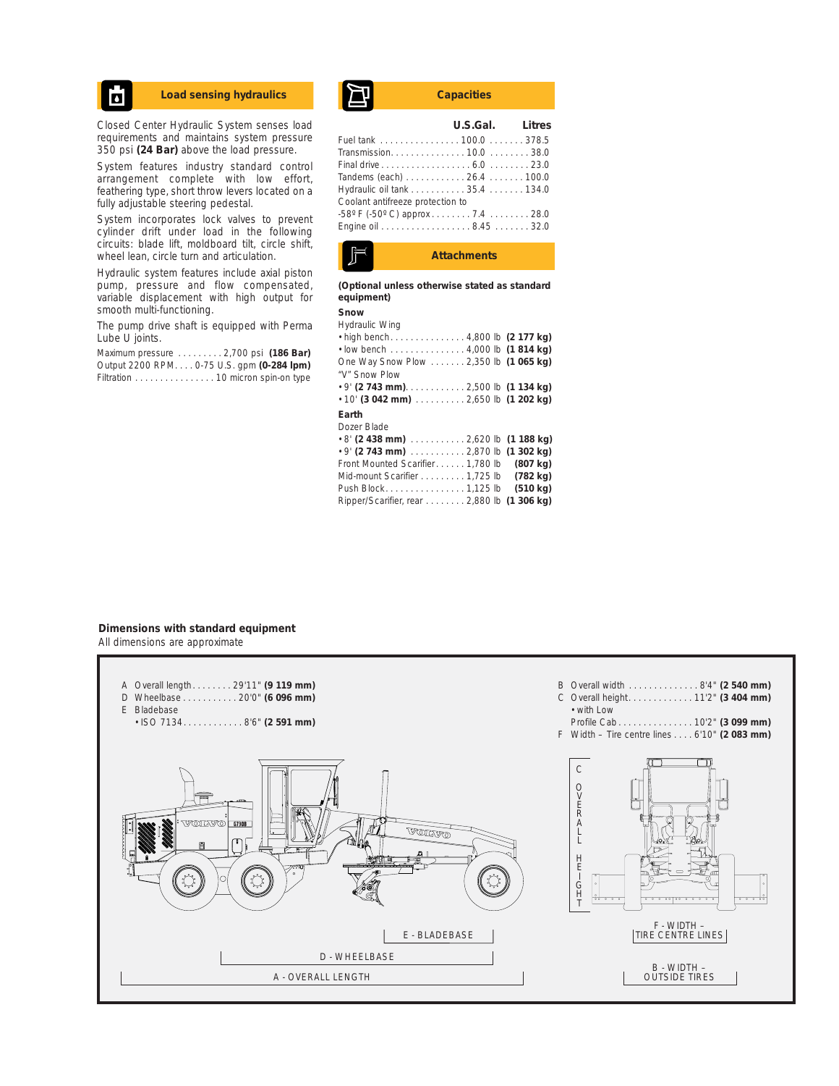## Ы

Closed Center Hydraulic System senses load requirements and maintains system pressure 350 psi **(24 Bar)** above the load pressure.

System features industry standard control arrangement complete with low effort, feathering type, short throw levers located on a fully adjustable steering pedestal.

System incorporates lock valves to prevent cylinder drift under load in the following circuits: blade lift, moldboard tilt, circle shift, wheel lean, circle turn and articulation.

Hydraulic system features include axial piston pump, pressure and flow compensated, variable displacement with high output for smooth multi-functioning.

The pump drive shaft is equipped with Perma Lube U joints.

Maximum pressure . . . . . . . . . 2,700 psi **(186 Bar)** Output 2200 RPM. . . . 0-75 U.S. gpm **(0-284 lpm)** Filtration . . . . . . . . . . . . . . . . 10 micron spin-on type

# Load sensing hydraulics **Capacities**

|                                                    | U.S.Gal. Litres |  |
|----------------------------------------------------|-----------------|--|
|                                                    |                 |  |
| Transmission 10.0  38.0                            |                 |  |
|                                                    |                 |  |
| Tandems (each) 26.4 100.0                          |                 |  |
| Hydraulic oil tank 35.4 134.0                      |                 |  |
| Coolant antifreeze protection to                   |                 |  |
| $-58^{\circ}$ F ( $-50^{\circ}$ C) approx 7.4 28.0 |                 |  |
| Engine oil 8.45 32.0                               |                 |  |
|                                                    |                 |  |



**(Optional unless otherwise stated as standard equipment)**

#### **Snow**

| Hydraulic Wing                              |  |
|---------------------------------------------|--|
| • high bench4,800 lb (2 177 kg)             |  |
| $\cdot$ low bench 4,000 lb (1814 kg)        |  |
| One Way Snow Plow 2,350 lb (1 065 kg)       |  |
| "V" Snow Plow                               |  |
|                                             |  |
| $\cdot$ 10' (3 042 mm)  2,650 lb (1 202 kg) |  |
|                                             |  |

#### **Earth**

Dozer Blade • 8' **(2 438 mm)** . . . . . . . . . . . 2,620 lb **(1 188 kg)** • 9' **(2 743 mm)** . . . . . . . . . . . 2,870 lb **(1 302 kg)** Front Mounted Scarifier. . . . . . 1,780 lb **(807 kg)** Mid-mount Scarifier . . . . . . . . . 1,725 lb **(782 kg)** Push Block. . . . . . . . . . . . . . . . 1,125 lb **(510 kg)** Ripper/Scarifier, rear . . . . . . . . 2,880 lb **(1 306 kg)**

#### **Dimensions with standard equipment** All dimensions are approximate